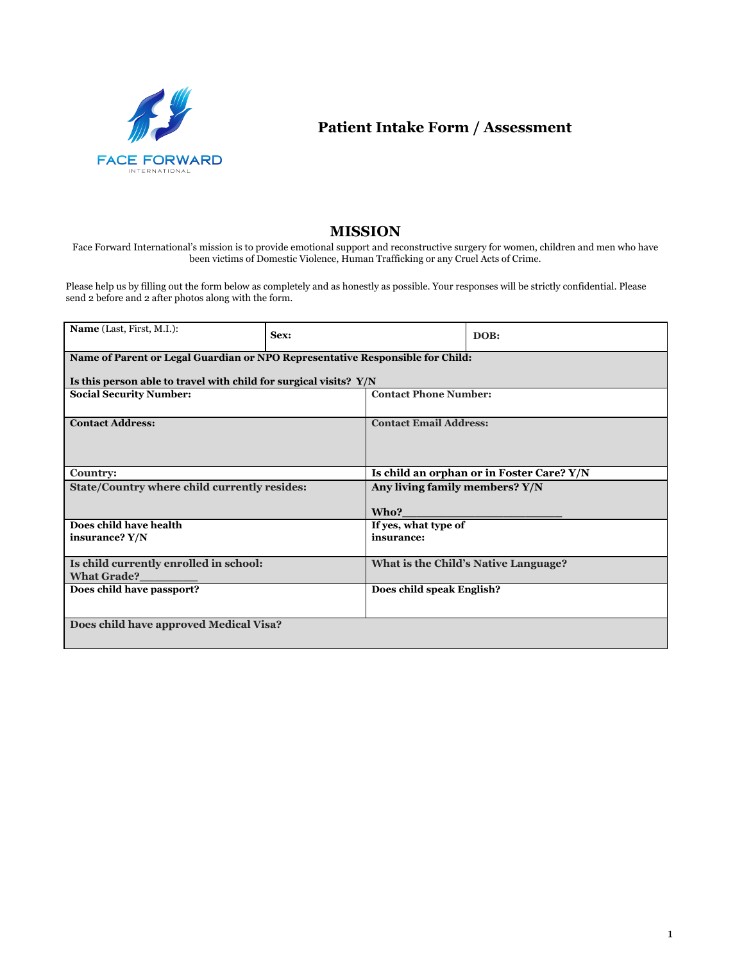

**Patient Intake Form / Assessment**

## **MISSION**

Face Forward International's mission is to provide emotional support and reconstructive surgery for women, children and men who have been victims of Domestic Violence, Human Trafficking or any Cruel Acts of Crime.

Please help us by filling out the form below as completely and as honestly as possible. Your responses will be strictly confidential. Please send 2 before and 2 after photos along with the form.

| Name (Last, First, M.I.):                                                     | Sex: |                                           | DOB:                                 |  |  |
|-------------------------------------------------------------------------------|------|-------------------------------------------|--------------------------------------|--|--|
| Name of Parent or Legal Guardian or NPO Representative Responsible for Child: |      |                                           |                                      |  |  |
| Is this person able to travel with child for surgical visits? Y/N             |      |                                           |                                      |  |  |
| <b>Social Security Number:</b>                                                |      | <b>Contact Phone Number:</b>              |                                      |  |  |
|                                                                               |      |                                           |                                      |  |  |
| <b>Contact Address:</b>                                                       |      | <b>Contact Email Address:</b>             |                                      |  |  |
|                                                                               |      |                                           |                                      |  |  |
|                                                                               |      |                                           |                                      |  |  |
| <b>Country:</b>                                                               |      | Is child an orphan or in Foster Care? Y/N |                                      |  |  |
| State/Country where child currently resides:                                  |      | Any living family members? Y/N            |                                      |  |  |
|                                                                               |      | Who?                                      |                                      |  |  |
| Does child have health                                                        |      | If yes, what type of                      |                                      |  |  |
| insurance? Y/N                                                                |      | insurance:                                |                                      |  |  |
|                                                                               |      |                                           |                                      |  |  |
| Is child currently enrolled in school:                                        |      |                                           | What is the Child's Native Language? |  |  |
| <b>What Grade?</b>                                                            |      |                                           |                                      |  |  |
| Does child have passport?                                                     |      | Does child speak English?                 |                                      |  |  |
|                                                                               |      |                                           |                                      |  |  |
| Does child have approved Medical Visa?                                        |      |                                           |                                      |  |  |
|                                                                               |      |                                           |                                      |  |  |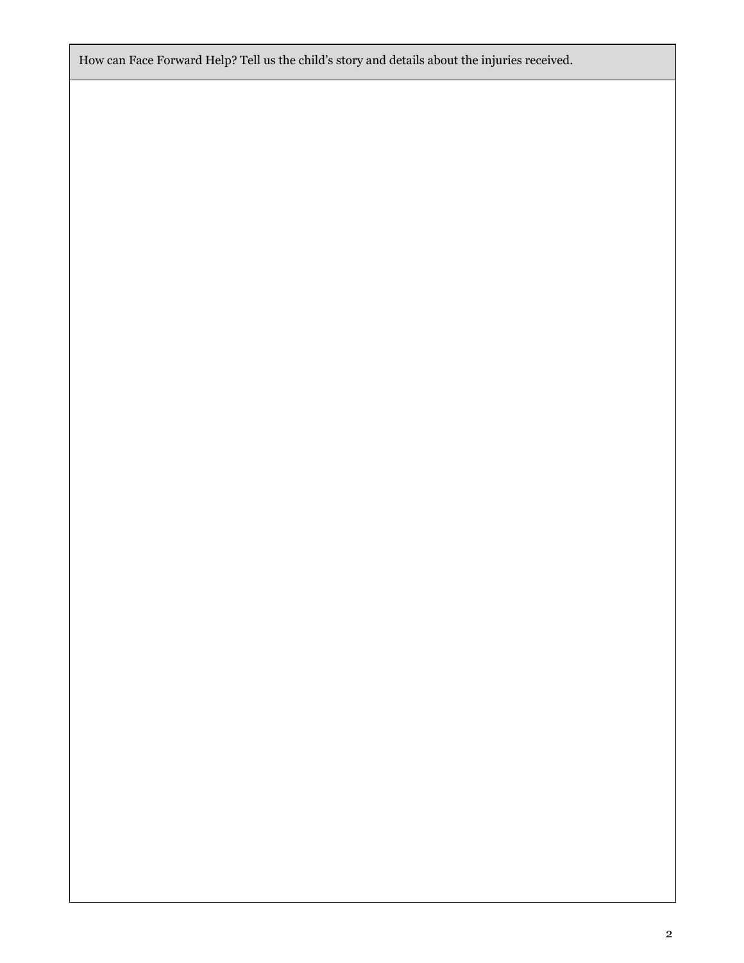How can Face Forward Help? Tell us the child's story and details about the injuries received.